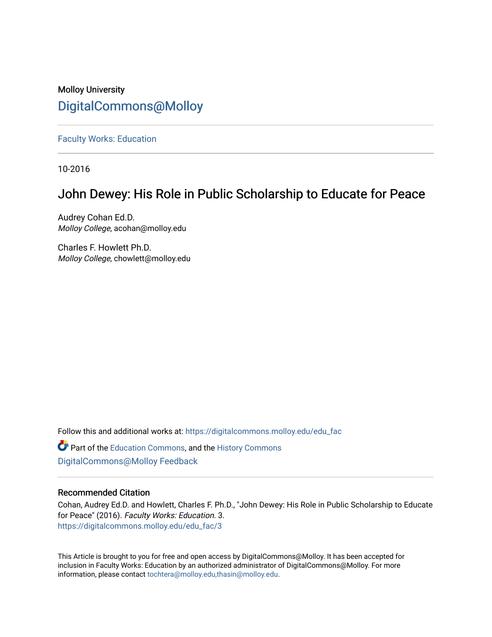## Molloy University [DigitalCommons@Molloy](https://digitalcommons.molloy.edu/)

[Faculty Works: Education](https://digitalcommons.molloy.edu/edu_fac) 

10-2016

## John Dewey: His Role in Public Scholarship to Educate for Peace

Audrey Cohan Ed.D. Molloy College, acohan@molloy.edu

Charles F. Howlett Ph.D. Molloy College, chowlett@molloy.edu

Follow this and additional works at: [https://digitalcommons.molloy.edu/edu\\_fac](https://digitalcommons.molloy.edu/edu_fac?utm_source=digitalcommons.molloy.edu%2Fedu_fac%2F3&utm_medium=PDF&utm_campaign=PDFCoverPages)

**C** Part of the [Education Commons](https://network.bepress.com/hgg/discipline/784?utm_source=digitalcommons.molloy.edu%2Fedu_fac%2F3&utm_medium=PDF&utm_campaign=PDFCoverPages), and the History Commons [DigitalCommons@Molloy Feedback](https://molloy.libwizard.com/f/dcfeedback)

### Recommended Citation

Cohan, Audrey Ed.D. and Howlett, Charles F. Ph.D., "John Dewey: His Role in Public Scholarship to Educate for Peace" (2016). Faculty Works: Education. 3. [https://digitalcommons.molloy.edu/edu\\_fac/3](https://digitalcommons.molloy.edu/edu_fac/3?utm_source=digitalcommons.molloy.edu%2Fedu_fac%2F3&utm_medium=PDF&utm_campaign=PDFCoverPages)

This Article is brought to you for free and open access by DigitalCommons@Molloy. It has been accepted for inclusion in Faculty Works: Education by an authorized administrator of DigitalCommons@Molloy. For more information, please contact [tochtera@molloy.edu,thasin@molloy.edu.](mailto:tochtera@molloy.edu,thasin@molloy.edu)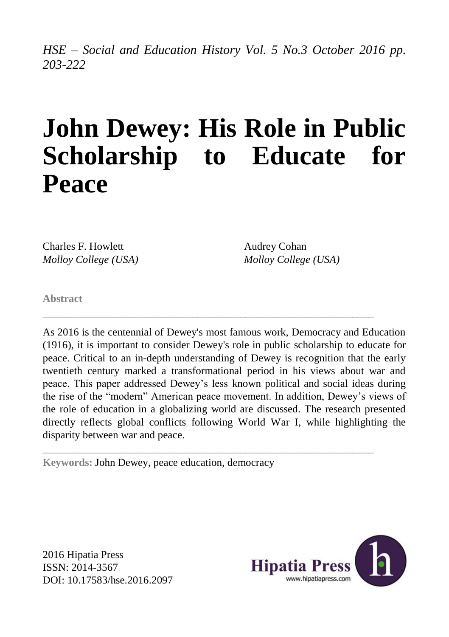*HSE – Social and Education History Vol. 5 No.3 October 2016 pp. 203-222*

# **John Dewey: His Role in Public Scholarship to Educate for Peace**

Charles F. Howlett *Molloy College (USA)* Audrey Cohan *Molloy College (USA)*

**Abstract**

As 2016 is the centennial of Dewey's most famous work, Democracy and Education (1916), it is important to consider Dewey's role in public scholarship to educate for peace. Critical to an in-depth understanding of Dewey is recognition that the early twentieth century marked a transformational period in his views about war and peace. This paper addressed Dewey's less known political and social ideas during the rise of the "modern" American peace movement. In addition, Dewey's views of the role of education in a globalizing world are discussed. The research presented directly reflects global conflicts following World War I, while highlighting the disparity between war and peace.

\_\_\_\_\_\_\_\_\_\_\_\_\_\_\_\_\_\_\_\_\_\_\_\_\_\_\_\_\_\_\_\_\_\_\_\_\_\_\_\_\_\_\_\_\_\_\_\_\_\_\_\_\_\_\_\_\_\_\_\_\_\_

\_\_\_\_\_\_\_\_\_\_\_\_\_\_\_\_\_\_\_\_\_\_\_\_\_\_\_\_\_\_\_\_\_\_\_\_\_\_\_\_\_\_\_\_\_\_\_\_\_\_\_\_\_\_\_\_\_\_\_\_\_\_

**Keywords:** John Dewey, peace education, democracy

2016 Hipatia Press ISSN: 2014-3567 DOI: 10.17583/hse.2016.2097

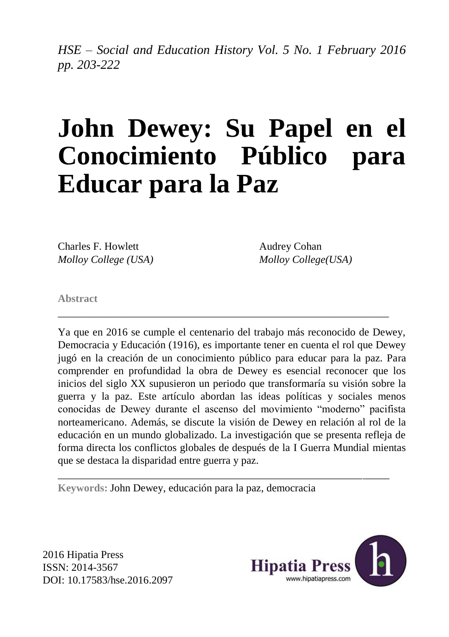*HSE – Social and Education History Vol. 5 No. 1 February 2016 pp. 203-222*

# **John Dewey: Su Papel en el Conocimiento Público para Educar para la Paz**

Charles F. Howlett *Molloy College (USA)*

Audrey Cohan *Molloy College(USA)*

**Abstract**

Ya que en 2016 se cumple el centenario del trabajo más reconocido de Dewey, Democracia y Educación (1916), es importante tener en cuenta el rol que Dewey jugó en la creación de un conocimiento público para educar para la paz. Para comprender en profundidad la obra de Dewey es esencial reconocer que los inicios del siglo XX supusieron un periodo que transformaría su visión sobre la guerra y la paz. Este artículo abordan las ideas políticas y sociales menos conocidas de Dewey durante el ascenso del movimiento "moderno" pacifista norteamericano. Además, se discute la visión de Dewey en relación al rol de la educación en un mundo globalizado. La investigación que se presenta refleja de forma directa los conflictos globales de después de la I Guerra Mundial mientas que se destaca la disparidad entre guerra y paz.

\_\_\_\_\_\_\_\_\_\_\_\_\_\_\_\_\_\_\_\_\_\_\_\_\_\_\_\_\_\_\_\_\_\_\_\_\_\_\_\_\_\_\_\_\_\_\_\_\_\_\_\_\_\_\_\_\_\_\_\_\_\_

\_\_\_\_\_\_\_\_\_\_\_\_\_\_\_\_\_\_\_\_\_\_\_\_\_\_\_\_\_\_\_\_\_\_\_\_\_\_\_\_\_\_\_\_\_\_\_\_\_\_\_\_\_\_\_\_\_\_\_\_\_\_

**Keywords:** John Dewey, educación para la paz, democracia

2016 Hipatia Press ISSN: 2014-3567 DOI: 10.17583/hse.2016.2097

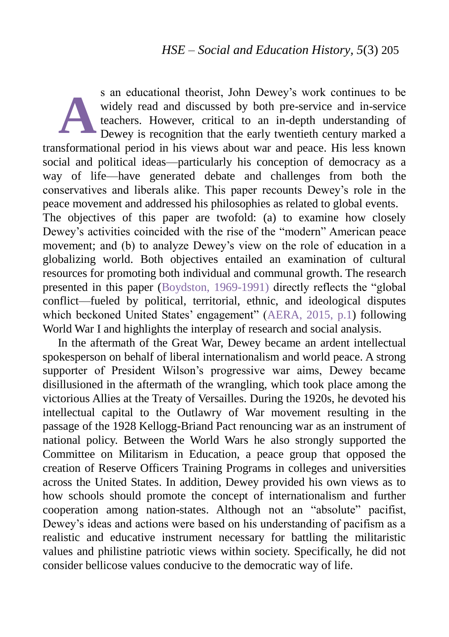s an educational theorist, John Dewey's work continues to be widely read and discussed by both pre-service and in-service teachers. However, critical to an in-depth understanding of Dewey is recognition that the early twentieth century marked a transformational period in his views about war and peace. His less known social and political ideas—particularly his conception of democracy as a way of life—have generated debate and challenges from both the conservatives and liberals alike. This paper recounts Dewey's role in the peace movement and addressed his philosophies as related to global events. The objectives of this paper are twofold: (a) to examine how closely Dewey's activities coincided with the rise of the "modern" American peace movement; and (b) to analyze Dewey's view on the role of education in a globalizing world. Both objectives entailed an examination of cultural resources for promoting both individual and communal growth. The research presented in this paper (Boydston, 1969-1991) directly reflects the "global conflict—fueled by political, territorial, ethnic, and ideological disputes which beckoned United States' engagement" [\(AERA, 2015, p.1\)](#page-3-0) following World War I and highlights the interplay of research and social analysis. **A**

<span id="page-3-0"></span>In the aftermath of the Great War, Dewey became an ardent intellectual spokesperson on behalf of liberal internationalism and world peace. A strong supporter of President Wilson's progressive war aims, Dewey became disillusioned in the aftermath of the wrangling, which took place among the victorious Allies at the Treaty of Versailles. During the 1920s, he devoted his intellectual capital to the Outlawry of War movement resulting in the passage of the 1928 Kellogg-Briand Pact renouncing war as an instrument of national policy. Between the World Wars he also strongly supported the Committee on Militarism in Education, a peace group that opposed the creation of Reserve Officers Training Programs in colleges and universities across the United States. In addition, Dewey provided his own views as to how schools should promote the concept of internationalism and further cooperation among nation-states. Although not an "absolute" pacifist, Dewey's ideas and actions were based on his understanding of pacifism as a realistic and educative instrument necessary for battling the militaristic values and philistine patriotic views within society. Specifically, he did not consider bellicose values conducive to the democratic way of life.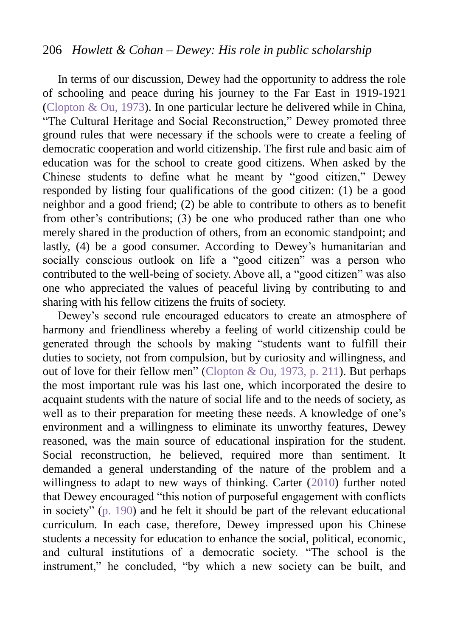#### 206 *Howlett & Cohan – Dewey: His role in public scholarship*

In terms of our discussion, Dewey had the opportunity to address the role of schooling and peace during his journey to the Far East in 1919-1921 (Clopton & Ou, 1973). In one particular lecture he delivered while in China, "The Cultural Heritage and Social Reconstruction," Dewey promoted three ground rules that were necessary if the schools were to create a feeling of democratic cooperation and world citizenship. The first rule and basic aim of education was for the school to create good citizens. When asked by the Chinese students to define what he meant by "good citizen," Dewey responded by listing four qualifications of the good citizen: (1) be a good neighbor and a good friend; (2) be able to contribute to others as to benefit from other's contributions; (3) be one who produced rather than one who merely shared in the production of others, from an economic standpoint; and lastly, (4) be a good consumer. According to Dewey's humanitarian and socially conscious outlook on life a "good citizen" was a person who contributed to the well-being of society. Above all, a "good citizen" was also one who appreciated the values of peaceful living by contributing to and sharing with his fellow citizens the fruits of society.

Dewey's second rule encouraged educators to create an atmosphere of harmony and friendliness whereby a feeling of world citizenship could be generated through the schools by making "students want to fulfill their duties to society, not from compulsion, but by curiosity and willingness, and out of love for their fellow men" (Clopton & Ou, 1973, p. 211). But perhaps the most important rule was his last one, which incorporated the desire to acquaint students with the nature of social life and to the needs of society, as well as to their preparation for meeting these needs. A knowledge of one's environment and a willingness to eliminate its unworthy features, Dewey reasoned, was the main source of educational inspiration for the student. Social reconstruction, he believed, required more than sentiment. It demanded a general understanding of the nature of the problem and a willingness to adapt to new ways of thinking. Carter (2010) further noted that Dewey encouraged "this notion of purposeful engagement with conflicts in society" (p. 190) and he felt it should be part of the relevant educational curriculum. In each case, therefore, Dewey impressed upon his Chinese students a necessity for education to enhance the social, political, economic, and cultural institutions of a democratic society. "The school is the instrument," he concluded, "by which a new society can be built, and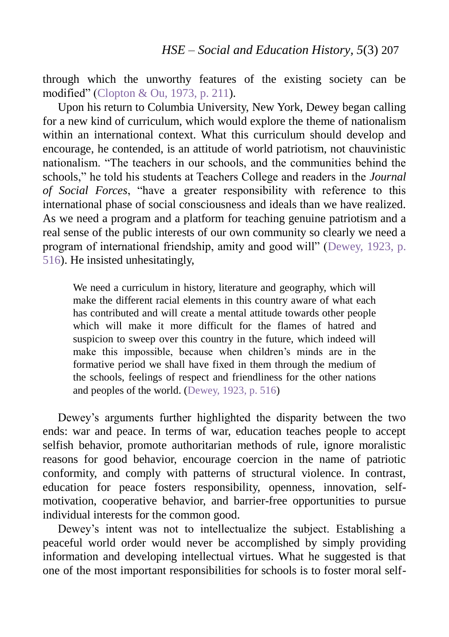through which the unworthy features of the existing society can be modified" (Clopton & Ou, 1973, p. 211).

Upon his return to Columbia University, New York, Dewey began calling for a new kind of curriculum, which would explore the theme of nationalism within an international context. What this curriculum should develop and encourage, he contended, is an attitude of world patriotism, not chauvinistic nationalism. "The teachers in our schools, and the communities behind the schools," he told his students at Teachers College and readers in the *Journal of Social Forces*, "have a greater responsibility with reference to this international phase of social consciousness and ideals than we have realized. As we need a program and a platform for teaching genuine patriotism and a real sense of the public interests of our own community so clearly we need a program of international friendship, amity and good will" (Dewey, 1923, p. 516). He insisted unhesitatingly,

We need a curriculum in history, literature and geography, which will make the different racial elements in this country aware of what each has contributed and will create a mental attitude towards other people which will make it more difficult for the flames of hatred and suspicion to sweep over this country in the future, which indeed will make this impossible, because when children's minds are in the formative period we shall have fixed in them through the medium of the schools, feelings of respect and friendliness for the other nations and peoples of the world. (Dewey, 1923, p. 516)

Dewey's arguments further highlighted the disparity between the two ends: war and peace. In terms of war, education teaches people to accept selfish behavior, promote authoritarian methods of rule, ignore moralistic reasons for good behavior, encourage coercion in the name of patriotic conformity, and comply with patterns of structural violence. In contrast, education for peace fosters responsibility, openness, innovation, selfmotivation, cooperative behavior, and barrier-free opportunities to pursue individual interests for the common good.

Dewey's intent was not to intellectualize the subject. Establishing a peaceful world order would never be accomplished by simply providing information and developing intellectual virtues. What he suggested is that one of the most important responsibilities for schools is to foster moral self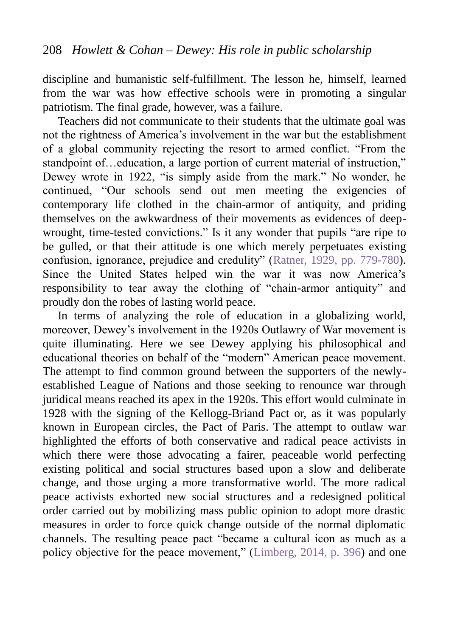discipline and humanistic self-fulfillment. The lesson he, himself, learned from the war was how effective schools were in promoting a singular patriotism. The final grade, however, was a failure.

Teachers did not communicate to their students that the ultimate goal was not the rightness of America's involvement in the war but the establishment of a global community rejecting the resort to armed conflict. "From the standpoint of…education, a large portion of current material of instruction," Dewey wrote in 1922, "is simply aside from the mark." No wonder, he continued, "Our schools send out men meeting the exigencies of contemporary life clothed in the chain-armor of antiquity, and priding themselves on the awkwardness of their movements as evidences of deepwrought, time-tested convictions." Is it any wonder that pupils "are ripe to be gulled, or that their attitude is one which merely perpetuates existing confusion, ignorance, prejudice and credulity" (Ratner, 1929, pp. 779-780). Since the United States helped win the war it was now America's responsibility to tear away the clothing of "chain-armor antiquity" and proudly don the robes of lasting world peace.

In terms of analyzing the role of education in a globalizing world, moreover, Dewey's involvement in the 1920s Outlawry of War movement is quite illuminating. Here we see Dewey applying his philosophical and educational theories on behalf of the "modern" American peace movement. The attempt to find common ground between the supporters of the newlyestablished League of Nations and those seeking to renounce war through juridical means reached its apex in the 1920s. This effort would culminate in 1928 with the signing of the Kellogg-Briand Pact or, as it was popularly known in European circles, the Pact of Paris. The attempt to outlaw war highlighted the efforts of both conservative and radical peace activists in which there were those advocating a fairer, peaceable world perfecting existing political and social structures based upon a slow and deliberate change, and those urging a more transformative world. The more radical peace activists exhorted new social structures and a redesigned political order carried out by mobilizing mass public opinion to adopt more drastic measures in order to force quick change outside of the normal diplomatic channels. The resulting peace pact "became a cultural icon as much as a policy objective for the peace movement," (Limberg, 2014, p. 396) and one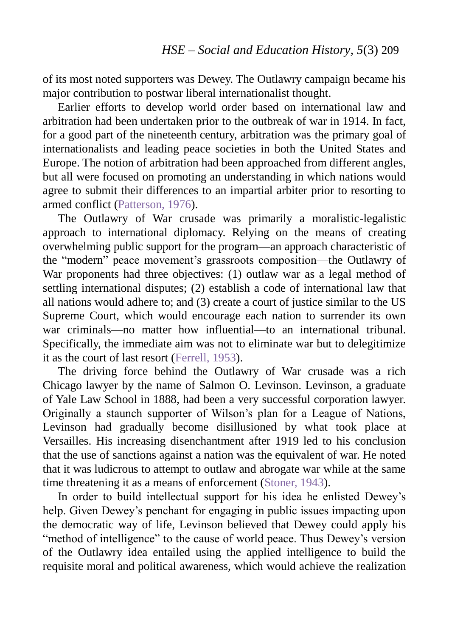of its most noted supporters was Dewey. The Outlawry campaign became his major contribution to postwar liberal internationalist thought.

Earlier efforts to develop world order based on international law and arbitration had been undertaken prior to the outbreak of war in 1914. In fact, for a good part of the nineteenth century, arbitration was the primary goal of internationalists and leading peace societies in both the United States and Europe. The notion of arbitration had been approached from different angles, but all were focused on promoting an understanding in which nations would agree to submit their differences to an impartial arbiter prior to resorting to armed conflict (Patterson, 1976).

The Outlawry of War crusade was primarily a moralistic-legalistic approach to international diplomacy. Relying on the means of creating overwhelming public support for the program—an approach characteristic of the "modern" peace movement's grassroots composition—the Outlawry of War proponents had three objectives: (1) outlaw war as a legal method of settling international disputes; (2) establish a code of international law that all nations would adhere to; and (3) create a court of justice similar to the US Supreme Court, which would encourage each nation to surrender its own war criminals—no matter how influential—to an international tribunal. Specifically, the immediate aim was not to eliminate war but to delegitimize it as the court of last resort (Ferrell, 1953).

The driving force behind the Outlawry of War crusade was a rich Chicago lawyer by the name of Salmon O. Levinson. Levinson, a graduate of Yale Law School in 1888, had been a very successful corporation lawyer. Originally a staunch supporter of Wilson's plan for a League of Nations, Levinson had gradually become disillusioned by what took place at Versailles. His increasing disenchantment after 1919 led to his conclusion that the use of sanctions against a nation was the equivalent of war. He noted that it was ludicrous to attempt to outlaw and abrogate war while at the same time threatening it as a means of enforcement (Stoner, 1943).

In order to build intellectual support for his idea he enlisted Dewey's help. Given Dewey's penchant for engaging in public issues impacting upon the democratic way of life, Levinson believed that Dewey could apply his "method of intelligence" to the cause of world peace. Thus Dewey's version of the Outlawry idea entailed using the applied intelligence to build the requisite moral and political awareness, which would achieve the realization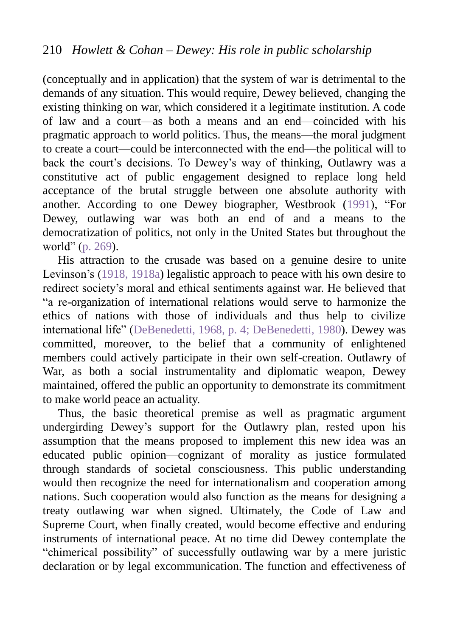(conceptually and in application) that the system of war is detrimental to the demands of any situation. This would require, Dewey believed, changing the existing thinking on war, which considered it a legitimate institution. A code of law and a court—as both a means and an end—coincided with his pragmatic approach to world politics. Thus, the means—the moral judgment to create a court—could be interconnected with the end—the political will to back the court's decisions. To Dewey's way of thinking, Outlawry was a constitutive act of public engagement designed to replace long held acceptance of the brutal struggle between one absolute authority with another. According to one Dewey biographer, Westbrook (1991), "For Dewey, outlawing war was both an end of and a means to the democratization of politics, not only in the United States but throughout the world" (p. 269).

His attraction to the crusade was based on a genuine desire to unite Levinson's (1918, 1918a) legalistic approach to peace with his own desire to redirect society's moral and ethical sentiments against war. He believed that "a re-organization of international relations would serve to harmonize the ethics of nations with those of individuals and thus help to civilize international life" (DeBenedetti, 1968, p. 4; DeBenedetti, 1980). Dewey was committed, moreover, to the belief that a community of enlightened members could actively participate in their own self-creation. Outlawry of War, as both a social instrumentality and diplomatic weapon, Dewey maintained, offered the public an opportunity to demonstrate its commitment to make world peace an actuality.

Thus, the basic theoretical premise as well as pragmatic argument undergirding Dewey's support for the Outlawry plan, rested upon his assumption that the means proposed to implement this new idea was an educated public opinion—cognizant of morality as justice formulated through standards of societal consciousness. This public understanding would then recognize the need for internationalism and cooperation among nations. Such cooperation would also function as the means for designing a treaty outlawing war when signed. Ultimately, the Code of Law and Supreme Court, when finally created, would become effective and enduring instruments of international peace. At no time did Dewey contemplate the "chimerical possibility" of successfully outlawing war by a mere juristic declaration or by legal excommunication. The function and effectiveness of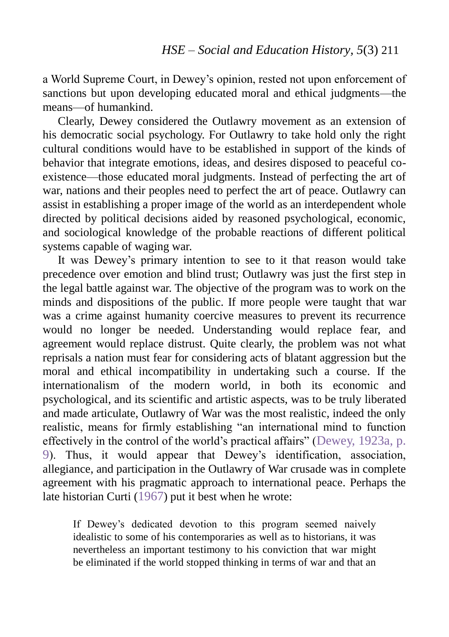a World Supreme Court, in Dewey's opinion, rested not upon enforcement of sanctions but upon developing educated moral and ethical judgments—the means—of humankind.

Clearly, Dewey considered the Outlawry movement as an extension of his democratic social psychology. For Outlawry to take hold only the right cultural conditions would have to be established in support of the kinds of behavior that integrate emotions, ideas, and desires disposed to peaceful coexistence—those educated moral judgments. Instead of perfecting the art of war, nations and their peoples need to perfect the art of peace. Outlawry can assist in establishing a proper image of the world as an interdependent whole directed by political decisions aided by reasoned psychological, economic, and sociological knowledge of the probable reactions of different political systems capable of waging war.

It was Dewey's primary intention to see to it that reason would take precedence over emotion and blind trust; Outlawry was just the first step in the legal battle against war. The objective of the program was to work on the minds and dispositions of the public. If more people were taught that war was a crime against humanity coercive measures to prevent its recurrence would no longer be needed. Understanding would replace fear, and agreement would replace distrust. Quite clearly, the problem was not what reprisals a nation must fear for considering acts of blatant aggression but the moral and ethical incompatibility in undertaking such a course. If the internationalism of the modern world, in both its economic and psychological, and its scientific and artistic aspects, was to be truly liberated and made articulate, Outlawry of War was the most realistic, indeed the only realistic, means for firmly establishing "an international mind to function effectively in the control of the world's practical affairs" (Dewey, 1923a, p. 9). Thus, it would appear that Dewey's identification, association, allegiance, and participation in the Outlawry of War crusade was in complete agreement with his pragmatic approach to international peace. Perhaps the late historian Curti (1967) put it best when he wrote:

If Dewey's dedicated devotion to this program seemed naively idealistic to some of his contemporaries as well as to historians, it was nevertheless an important testimony to his conviction that war might be eliminated if the world stopped thinking in terms of war and that an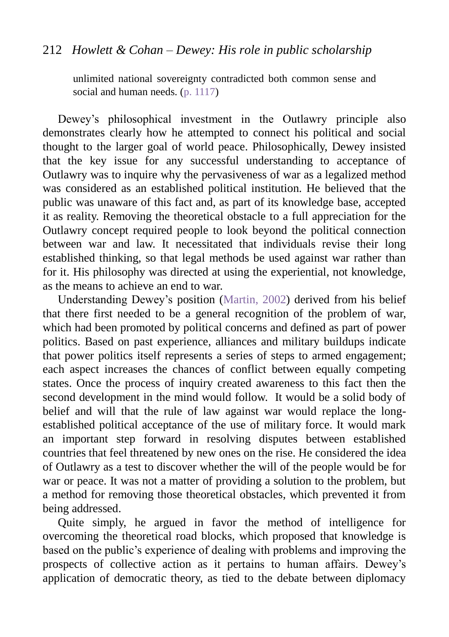### 212 *Howlett & Cohan – Dewey: His role in public scholarship*

unlimited national sovereignty contradicted both common sense and social and human needs. (p. 1117)

Dewey's philosophical investment in the Outlawry principle also demonstrates clearly how he attempted to connect his political and social thought to the larger goal of world peace. Philosophically, Dewey insisted that the key issue for any successful understanding to acceptance of Outlawry was to inquire why the pervasiveness of war as a legalized method was considered as an established political institution. He believed that the public was unaware of this fact and, as part of its knowledge base, accepted it as reality. Removing the theoretical obstacle to a full appreciation for the Outlawry concept required people to look beyond the political connection between war and law. It necessitated that individuals revise their long established thinking, so that legal methods be used against war rather than for it. His philosophy was directed at using the experiential, not knowledge, as the means to achieve an end to war.

Understanding Dewey's position (Martin, 2002) derived from his belief that there first needed to be a general recognition of the problem of war, which had been promoted by political concerns and defined as part of power politics. Based on past experience, alliances and military buildups indicate that power politics itself represents a series of steps to armed engagement; each aspect increases the chances of conflict between equally competing states. Once the process of inquiry created awareness to this fact then the second development in the mind would follow. It would be a solid body of belief and will that the rule of law against war would replace the longestablished political acceptance of the use of military force. It would mark an important step forward in resolving disputes between established countries that feel threatened by new ones on the rise. He considered the idea of Outlawry as a test to discover whether the will of the people would be for war or peace. It was not a matter of providing a solution to the problem, but a method for removing those theoretical obstacles, which prevented it from being addressed.

Quite simply, he argued in favor the method of intelligence for overcoming the theoretical road blocks, which proposed that knowledge is based on the public's experience of dealing with problems and improving the prospects of collective action as it pertains to human affairs. Dewey's application of democratic theory, as tied to the debate between diplomacy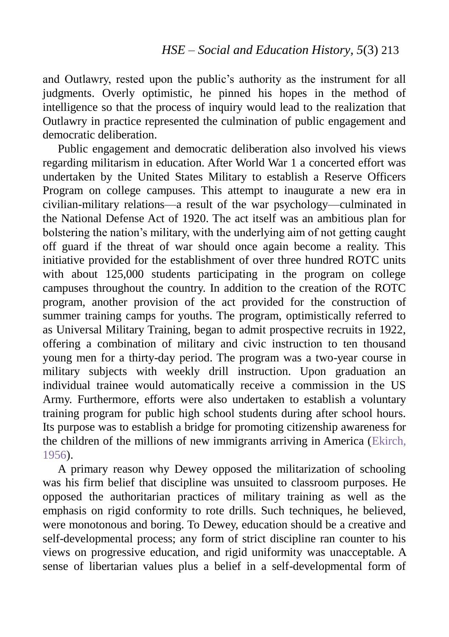and Outlawry, rested upon the public's authority as the instrument for all judgments. Overly optimistic, he pinned his hopes in the method of intelligence so that the process of inquiry would lead to the realization that Outlawry in practice represented the culmination of public engagement and democratic deliberation.

Public engagement and democratic deliberation also involved his views regarding militarism in education. After World War 1 a concerted effort was undertaken by the United States Military to establish a Reserve Officers Program on college campuses. This attempt to inaugurate a new era in civilian-military relations—a result of the war psychology—culminated in the National Defense Act of 1920. The act itself was an ambitious plan for bolstering the nation's military, with the underlying aim of not getting caught off guard if the threat of war should once again become a reality. This initiative provided for the establishment of over three hundred ROTC units with about 125,000 students participating in the program on college campuses throughout the country. In addition to the creation of the ROTC program, another provision of the act provided for the construction of summer training camps for youths. The program, optimistically referred to as Universal Military Training, began to admit prospective recruits in 1922, offering a combination of military and civic instruction to ten thousand young men for a thirty-day period. The program was a two-year course in military subjects with weekly drill instruction. Upon graduation an individual trainee would automatically receive a commission in the US Army. Furthermore, efforts were also undertaken to establish a voluntary training program for public high school students during after school hours. Its purpose was to establish a bridge for promoting citizenship awareness for the children of the millions of new immigrants arriving in America (Ekirch, 1956).

A primary reason why Dewey opposed the militarization of schooling was his firm belief that discipline was unsuited to classroom purposes. He opposed the authoritarian practices of military training as well as the emphasis on rigid conformity to rote drills. Such techniques, he believed, were monotonous and boring. To Dewey, education should be a creative and self-developmental process; any form of strict discipline ran counter to his views on progressive education, and rigid uniformity was unacceptable. A sense of libertarian values plus a belief in a self-developmental form of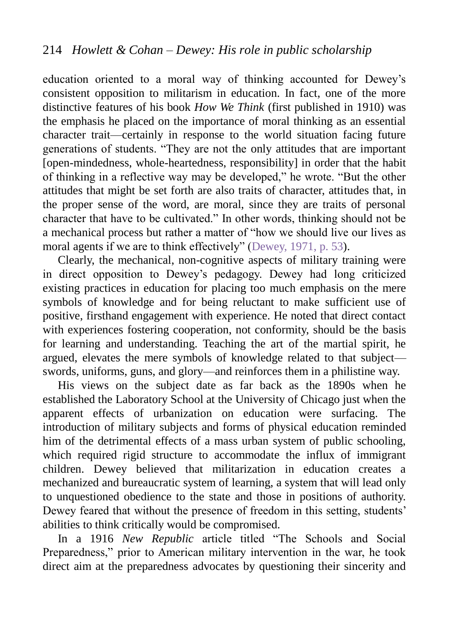education oriented to a moral way of thinking accounted for Dewey's consistent opposition to militarism in education. In fact, one of the more distinctive features of his book *How We Think* (first published in 1910) was the emphasis he placed on the importance of moral thinking as an essential character trait—certainly in response to the world situation facing future generations of students. "They are not the only attitudes that are important [open-mindedness, whole-heartedness, responsibility] in order that the habit of thinking in a reflective way may be developed," he wrote. "But the other attitudes that might be set forth are also traits of character, attitudes that, in the proper sense of the word, are moral, since they are traits of personal character that have to be cultivated." In other words, thinking should not be a mechanical process but rather a matter of "how we should live our lives as moral agents if we are to think effectively" (Dewey, 1971, p. 53).

Clearly, the mechanical, non-cognitive aspects of military training were in direct opposition to Dewey's pedagogy. Dewey had long criticized existing practices in education for placing too much emphasis on the mere symbols of knowledge and for being reluctant to make sufficient use of positive, firsthand engagement with experience. He noted that direct contact with experiences fostering cooperation, not conformity, should be the basis for learning and understanding. Teaching the art of the martial spirit, he argued, elevates the mere symbols of knowledge related to that subject swords, uniforms, guns, and glory—and reinforces them in a philistine way.

His views on the subject date as far back as the 1890s when he established the Laboratory School at the University of Chicago just when the apparent effects of urbanization on education were surfacing. The introduction of military subjects and forms of physical education reminded him of the detrimental effects of a mass urban system of public schooling, which required rigid structure to accommodate the influx of immigrant children. Dewey believed that militarization in education creates a mechanized and bureaucratic system of learning, a system that will lead only to unquestioned obedience to the state and those in positions of authority. Dewey feared that without the presence of freedom in this setting, students' abilities to think critically would be compromised.

In a 1916 *New Republic* article titled "The Schools and Social Preparedness," prior to American military intervention in the war, he took direct aim at the preparedness advocates by questioning their sincerity and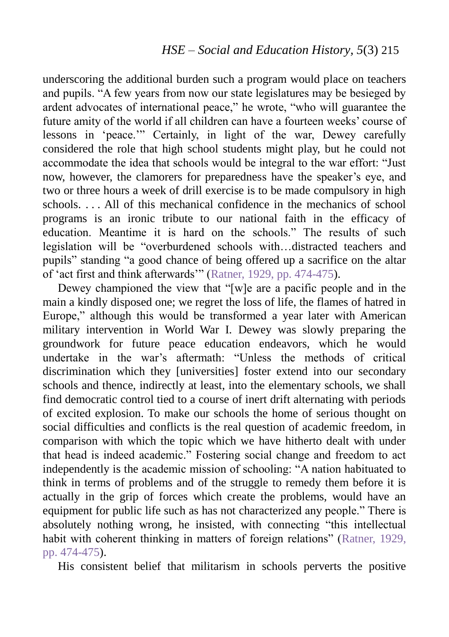underscoring the additional burden such a program would place on teachers and pupils. "A few years from now our state legislatures may be besieged by ardent advocates of international peace," he wrote, "who will guarantee the future amity of the world if all children can have a fourteen weeks' course of lessons in 'peace.'" Certainly, in light of the war, Dewey carefully considered the role that high school students might play, but he could not accommodate the idea that schools would be integral to the war effort: "Just now, however, the clamorers for preparedness have the speaker's eye, and two or three hours a week of drill exercise is to be made compulsory in high schools. . . . All of this mechanical confidence in the mechanics of school programs is an ironic tribute to our national faith in the efficacy of education. Meantime it is hard on the schools." The results of such legislation will be "overburdened schools with…distracted teachers and pupils" standing "a good chance of being offered up a sacrifice on the altar of 'act first and think afterwards'" (Ratner, 1929, pp. 474-475).

Dewey championed the view that "[w]e are a pacific people and in the main a kindly disposed one; we regret the loss of life, the flames of hatred in Europe," although this would be transformed a year later with American military intervention in World War I. Dewey was slowly preparing the groundwork for future peace education endeavors, which he would undertake in the war's aftermath: "Unless the methods of critical discrimination which they [universities] foster extend into our secondary schools and thence, indirectly at least, into the elementary schools, we shall find democratic control tied to a course of inert drift alternating with periods of excited explosion. To make our schools the home of serious thought on social difficulties and conflicts is the real question of academic freedom, in comparison with which the topic which we have hitherto dealt with under that head is indeed academic." Fostering social change and freedom to act independently is the academic mission of schooling: "A nation habituated to think in terms of problems and of the struggle to remedy them before it is actually in the grip of forces which create the problems, would have an equipment for public life such as has not characterized any people." There is absolutely nothing wrong, he insisted, with connecting "this intellectual habit with coherent thinking in matters of foreign relations" (Ratner, 1929, pp. 474-475).

His consistent belief that militarism in schools perverts the positive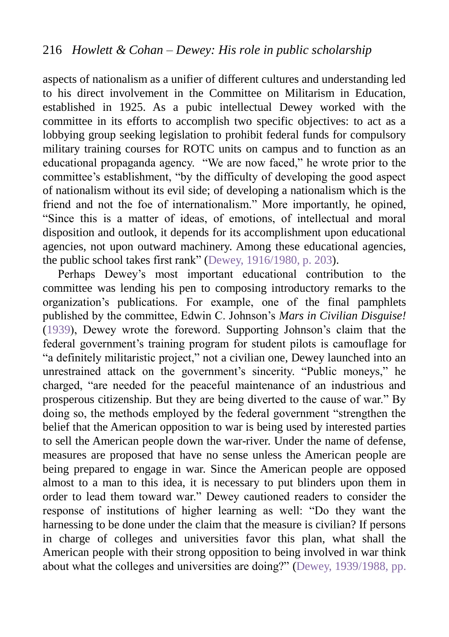aspects of nationalism as a unifier of different cultures and understanding led to his direct involvement in the Committee on Militarism in Education, established in 1925. As a pubic intellectual Dewey worked with the committee in its efforts to accomplish two specific objectives: to act as a lobbying group seeking legislation to prohibit federal funds for compulsory military training courses for ROTC units on campus and to function as an educational propaganda agency. "We are now faced," he wrote prior to the committee's establishment, "by the difficulty of developing the good aspect of nationalism without its evil side; of developing a nationalism which is the friend and not the foe of internationalism." More importantly, he opined, "Since this is a matter of ideas, of emotions, of intellectual and moral disposition and outlook, it depends for its accomplishment upon educational agencies, not upon outward machinery. Among these educational agencies, the public school takes first rank" (Dewey, 1916/1980, p. 203).

Perhaps Dewey's most important educational contribution to the committee was lending his pen to composing introductory remarks to the organization's publications. For example, one of the final pamphlets published by the committee, Edwin C. Johnson's *Mars in Civilian Disguise!* (1939), Dewey wrote the foreword. Supporting Johnson's claim that the federal government's training program for student pilots is camouflage for "a definitely militaristic project," not a civilian one, Dewey launched into an unrestrained attack on the government's sincerity. "Public moneys," he charged, "are needed for the peaceful maintenance of an industrious and prosperous citizenship. But they are being diverted to the cause of war." By doing so, the methods employed by the federal government "strengthen the belief that the American opposition to war is being used by interested parties to sell the American people down the war-river. Under the name of defense, measures are proposed that have no sense unless the American people are being prepared to engage in war. Since the American people are opposed almost to a man to this idea, it is necessary to put blinders upon them in order to lead them toward war." Dewey cautioned readers to consider the response of institutions of higher learning as well: "Do they want the harnessing to be done under the claim that the measure is civilian? If persons in charge of colleges and universities favor this plan, what shall the American people with their strong opposition to being involved in war think about what the colleges and universities are doing?" (Dewey, 1939/1988, pp.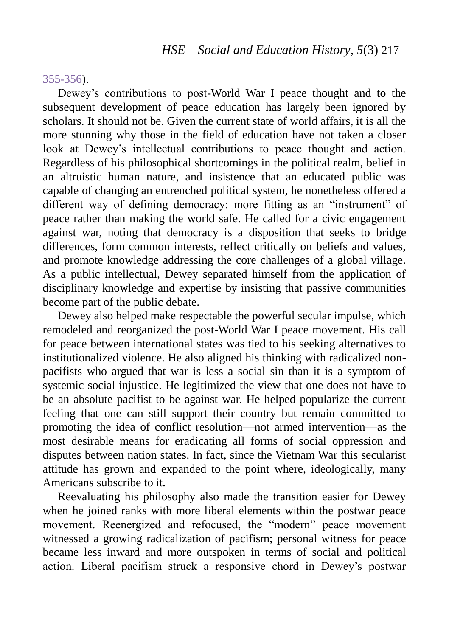#### 355-356).

Dewey's contributions to post-World War I peace thought and to the subsequent development of peace education has largely been ignored by scholars. It should not be. Given the current state of world affairs, it is all the more stunning why those in the field of education have not taken a closer look at Dewey's intellectual contributions to peace thought and action. Regardless of his philosophical shortcomings in the political realm, belief in an altruistic human nature, and insistence that an educated public was capable of changing an entrenched political system, he nonetheless offered a different way of defining democracy: more fitting as an "instrument" of peace rather than making the world safe. He called for a civic engagement against war, noting that democracy is a disposition that seeks to bridge differences, form common interests, reflect critically on beliefs and values, and promote knowledge addressing the core challenges of a global village. As a public intellectual, Dewey separated himself from the application of disciplinary knowledge and expertise by insisting that passive communities become part of the public debate.

Dewey also helped make respectable the powerful secular impulse, which remodeled and reorganized the post-World War I peace movement. His call for peace between international states was tied to his seeking alternatives to institutionalized violence. He also aligned his thinking with radicalized nonpacifists who argued that war is less a social sin than it is a symptom of systemic social injustice. He legitimized the view that one does not have to be an absolute pacifist to be against war. He helped popularize the current feeling that one can still support their country but remain committed to promoting the idea of conflict resolution—not armed intervention—as the most desirable means for eradicating all forms of social oppression and disputes between nation states. In fact, since the Vietnam War this secularist attitude has grown and expanded to the point where, ideologically, many Americans subscribe to it.

Reevaluating his philosophy also made the transition easier for Dewey when he joined ranks with more liberal elements within the postwar peace movement. Reenergized and refocused, the "modern" peace movement witnessed a growing radicalization of pacifism; personal witness for peace became less inward and more outspoken in terms of social and political action. Liberal pacifism struck a responsive chord in Dewey's postwar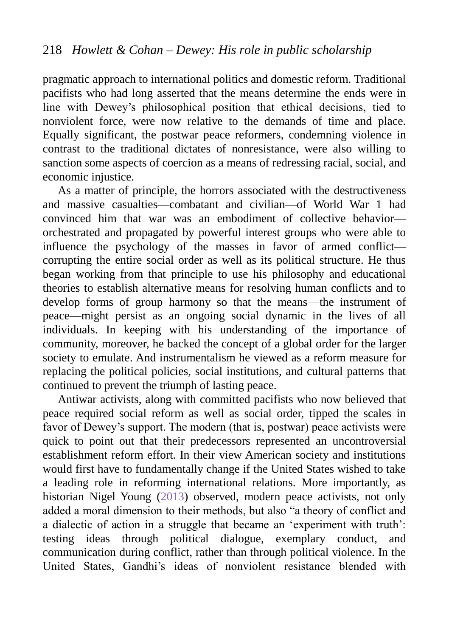pragmatic approach to international politics and domestic reform. Traditional pacifists who had long asserted that the means determine the ends were in line with Dewey's philosophical position that ethical decisions, tied to nonviolent force, were now relative to the demands of time and place. Equally significant, the postwar peace reformers, condemning violence in contrast to the traditional dictates of nonresistance, were also willing to sanction some aspects of coercion as a means of redressing racial, social, and economic injustice.

As a matter of principle, the horrors associated with the destructiveness and massive casualties—combatant and civilian—of World War 1 had convinced him that war was an embodiment of collective behavior orchestrated and propagated by powerful interest groups who were able to influence the psychology of the masses in favor of armed conflict corrupting the entire social order as well as its political structure. He thus began working from that principle to use his philosophy and educational theories to establish alternative means for resolving human conflicts and to develop forms of group harmony so that the means—the instrument of peace—might persist as an ongoing social dynamic in the lives of all individuals. In keeping with his understanding of the importance of community, moreover, he backed the concept of a global order for the larger society to emulate. And instrumentalism he viewed as a reform measure for replacing the political policies, social institutions, and cultural patterns that continued to prevent the triumph of lasting peace.

Antiwar activists, along with committed pacifists who now believed that peace required social reform as well as social order, tipped the scales in favor of Dewey's support. The modern (that is, postwar) peace activists were quick to point out that their predecessors represented an uncontroversial establishment reform effort. In their view American society and institutions would first have to fundamentally change if the United States wished to take a leading role in reforming international relations. More importantly, as historian Nigel Young (2013) observed, modern peace activists, not only added a moral dimension to their methods, but also "a theory of conflict and a dialectic of action in a struggle that became an 'experiment with truth': testing ideas through political dialogue, exemplary conduct, and communication during conflict, rather than through political violence. In the United States, Gandhi's ideas of nonviolent resistance blended with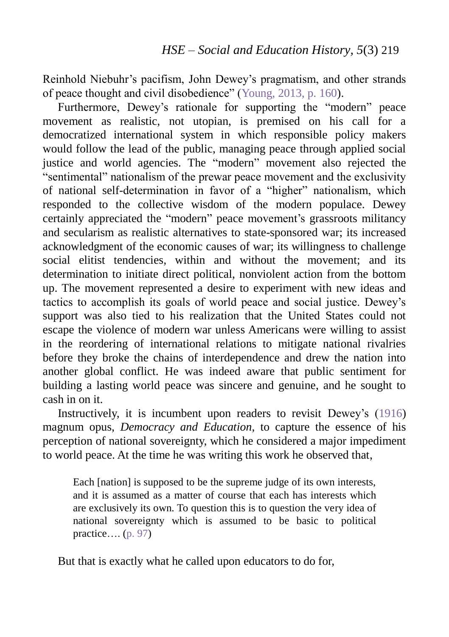Reinhold Niebuhr's pacifism, John Dewey's pragmatism, and other strands of peace thought and civil disobedience" (Young, 2013, p. 160).

Furthermore, Dewey's rationale for supporting the "modern" peace movement as realistic, not utopian, is premised on his call for a democratized international system in which responsible policy makers would follow the lead of the public, managing peace through applied social justice and world agencies. The "modern" movement also rejected the "sentimental" nationalism of the prewar peace movement and the exclusivity of national self-determination in favor of a "higher" nationalism, which responded to the collective wisdom of the modern populace. Dewey certainly appreciated the "modern" peace movement's grassroots militancy and secularism as realistic alternatives to state-sponsored war; its increased acknowledgment of the economic causes of war; its willingness to challenge social elitist tendencies, within and without the movement; and its determination to initiate direct political, nonviolent action from the bottom up. The movement represented a desire to experiment with new ideas and tactics to accomplish its goals of world peace and social justice. Dewey's support was also tied to his realization that the United States could not escape the violence of modern war unless Americans were willing to assist in the reordering of international relations to mitigate national rivalries before they broke the chains of interdependence and drew the nation into another global conflict. He was indeed aware that public sentiment for building a lasting world peace was sincere and genuine, and he sought to cash in on it.

Instructively, it is incumbent upon readers to revisit Dewey's (1916) magnum opus, *Democracy and Education*, to capture the essence of his perception of national sovereignty, which he considered a major impediment to world peace. At the time he was writing this work he observed that,

Each [nation] is supposed to be the supreme judge of its own interests. and it is assumed as a matter of course that each has interests which are exclusively its own. To question this is to question the very idea of national sovereignty which is assumed to be basic to political practice….  $(p. 97)$ 

But that is exactly what he called upon educators to do for,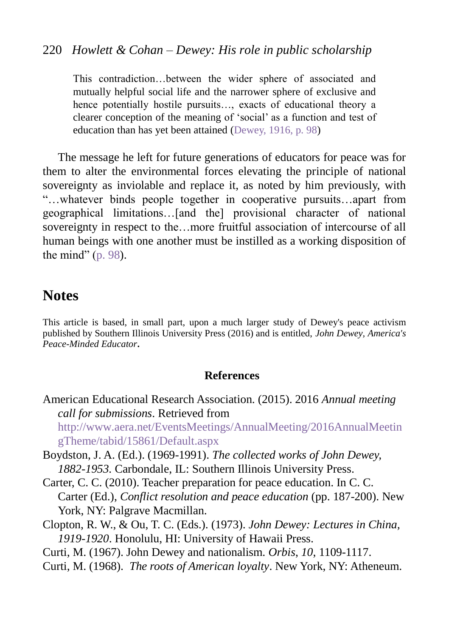#### 220 *Howlett & Cohan – Dewey: His role in public scholarship*

This contradiction…between the wider sphere of associated and mutually helpful social life and the narrower sphere of exclusive and hence potentially hostile pursuits…, exacts of educational theory a clearer conception of the meaning of 'social' as a function and test of education than has yet been attained (Dewey, 1916, p. 98)

The message he left for future generations of educators for peace was for them to alter the environmental forces elevating the principle of national sovereignty as inviolable and replace it, as noted by him previously, with "…whatever binds people together in cooperative pursuits…apart from geographical limitations…[and the] provisional character of national sovereignty in respect to the…more fruitful association of intercourse of all human beings with one another must be instilled as a working disposition of the mind" (p. 98).

### **Notes**

This article is based, in small part, upon a much larger study of Dewey's peace activism published by Southern Illinois University Press (2016) and is entitled, *John Dewey, America's Peace-Minded Educator.*

#### **References**

- American Educational Research Association. (2015). 2016 *Annual meeting call for submissions*. Retrieved from [http://www.aera.net/EventsMeetings/AnnualMeeting/2016AnnualMeetin](http://www.aera.net/EventsMeetings/AnnualMeeting/2016AnnualMeetingTheme/tabid/15861/Default.aspx) [gTheme/tabid/15861/Default.aspx](http://www.aera.net/EventsMeetings/AnnualMeeting/2016AnnualMeetingTheme/tabid/15861/Default.aspx)
- Boydston, J. A. (Ed.). (1969-1991). *The collected works of John Dewey, 1882-1953.* Carbondale, IL: Southern Illinois University Press.
- Carter, C. C. (2010). Teacher preparation for peace education. In C. C. Carter (Ed.), *Conflict resolution and peace education* (pp. 187-200). New York, NY: Palgrave Macmillan.
- Clopton, R. W., & Ou, T. C. (Eds.). (1973). *John Dewey: Lectures in China, 1919-1920*. Honolulu, HI: University of Hawaii Press.
- Curti, M. (1967). John Dewey and nationalism. *Orbis*, *10*, 1109-1117.
- Curti, M. (1968). *The roots of American loyalty*. New York, NY: Atheneum.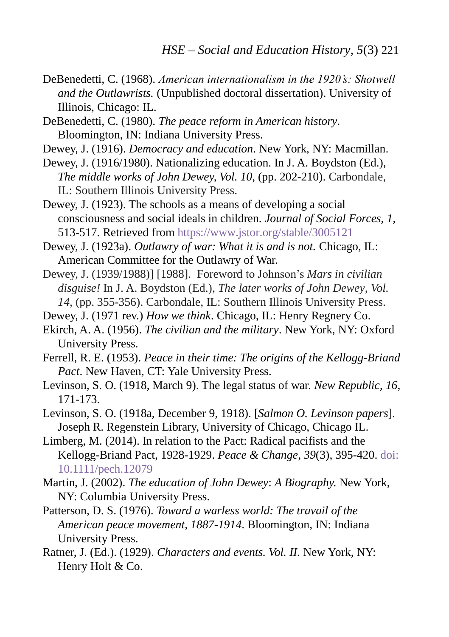- DeBenedetti, C. (1968). *American internationalism in the 1920's: Shotwell and the Outlawrists.* (Unpublished doctoral dissertation). University of Illinois, Chicago: IL.
- DeBenedetti, C. (1980). *The peace reform in American history*. Bloomington, IN: Indiana University Press.
- Dewey, J. (1916). *Democracy and education*. New York, NY: Macmillan.
- Dewey, J. (1916/1980). Nationalizing education. In J. A. Boydston (Ed.), *The middle works of John Dewey, Vol. 10,* (pp. 202-210). Carbondale, IL: Southern Illinois University Press.
- Dewey, J. (1923). The schools as a means of developing a social consciousness and social ideals in children. *Journal of Social Forces, 1,* 513-517. Retrieved from<https://www.jstor.org/stable/3005121>
- Dewey, J. (1923a). *Outlawry of war: What it is and is not.* Chicago, IL: American Committee for the Outlawry of War.
- Dewey, J. (1939/1988)] [1988]. Foreword to Johnson's *Mars in civilian disguise!* In J. A. Boydston (Ed.), *The later works of John Dewey*, *Vol. 14,* (pp. 355-356). Carbondale, IL: Southern Illinois University Press.
- Dewey, J. (1971 rev.) *How we think*. Chicago, IL: Henry Regnery Co.
- Ekirch, A. A. (1956). *The civilian and the military*. New York, NY: Oxford University Press.
- Ferrell, R. E. (1953). *Peace in their time: The origins of the Kellogg-Briand Pact*. New Haven, CT: Yale University Press.
- Levinson, S. O. (1918, March 9). The legal status of war. *New Republic*, *16*, 171-173.
- Levinson, S. O. (1918a, December 9, 1918). [*Salmon O. Levinson papers*]. Joseph R. Regenstein Library, University of Chicago, Chicago IL.
- Limberg, M. (2014). In relation to the Pact: Radical pacifists and the Kellogg-Briand Pact, 1928-1929. *Peace & Change*, *39*(3), 395-420[. doi:](http://onlinelibrary.wiley.com/doi/10.1111/pech.12079/abstract)  [10.1111/pech.12079](http://onlinelibrary.wiley.com/doi/10.1111/pech.12079/abstract)
- Martin, J. (2002). *The education of John Dewey*: *A Biography.* New York, NY: Columbia University Press.
- Patterson, D. S. (1976). *Toward a warless world: The travail of the American peace movement, 1887-1914*. Bloomington, IN: Indiana University Press.
- Ratner, J. (Ed.). (1929). *Characters and events. Vol. II.* New York, NY: Henry Holt & Co.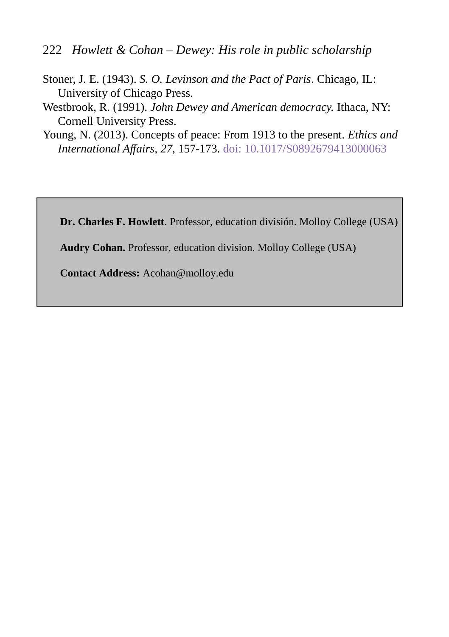- 222 *Howlett & Cohan – Dewey: His role in public scholarship*
- Stoner, J. E. (1943). *S. O. Levinson and the Pact of Paris*. Chicago, IL: University of Chicago Press.
- Westbrook, R. (1991). *John Dewey and American democracy.* Ithaca, NY: Cornell University Press.
- Young, N. (2013). Concepts of peace: From 1913 to the present. *Ethics and International Affairs, 27*, 157-173. doi: [10.1017/S0892679413000063](http://dx.doi.org/10.1017/S0892679413000063)

**Dr. Charles F. Howlett**. Professor, education división. Molloy College (USA)

**Audry Cohan.** Professor, education division. Molloy College (USA)

**Contact Address:** Acohan@molloy.edu